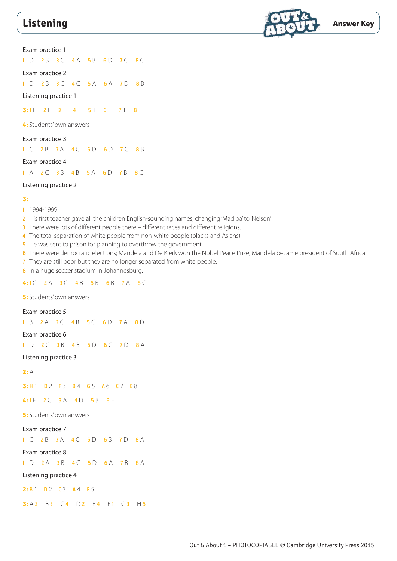

Exam practice 1

1 D 2 B 3 C 4 A 5 B 6 D 7 C 8 C

Exam practice 2

1 D 2 B 3 C 4 C 5 A 6 A 7 D 8 B

Listening practice 1

**3:** 1 F 2 F 3 T 4 T 5 T 6 F 7 T 8 T

**4:** Students' own answers

Exam practice 3

1 C 2 B 3 A 4 C 5 D 6 D 7 C 8 B

Exam practice 4

1 A 2 C 3 B 4 B 5 A 6 D 7 B 8 C

### Listening practice 2

#### **3:**

- 1 1994-1999
- 2 His first teacher gave all the children English-sounding names, changing 'Madiba' to 'Nelson'.
- 3 There were lots of different people there different races and different religions.
- 4 The total separation of white people from non-white people (blacks and Asians).
- 5 He was sent to prison for planning to overthrow the government.
- 6 There were democratic elections; Mandela and De Klerk won the Nobel Peace Prize; Mandela became president of South Africa.
- 7 They are still poor but they are no longer separated from white people.
- 8 In a huge soccer stadium in Johannesburg.

4:1 C 2 A 3 C 4 B 5 B 6 B 7 A 8 C

**5:** Students' own answers

## Exam practice 5

1 B 2 A 3 C 4 B 5 C 6 D 7 A 8 D

Exam practice 6

1 D 2 C 3 B 4 B 5 D 6 C 7 D 8 A

Listening practice 3

**2:** A

**3: H 1 D 2 F 3 B 4 G 5 A 6 C 7 E 8** 

4:1F 2C 3A 4D 5B 6F

**5:** Students' own answers

Exam practice 7

1 C 2 B 3 A 4 C 5 D 6 B 7 D 8 A

Exam practice 8

1 D 2 A 3 B 4 C 5 D 6 A 7 B 8 A

Listening practice 4

**2: B** 1 D 2 C 3 A 4 E 5

**3:** A 2 B 3 C 4 D 2 E 4 F 1 G 3 H 5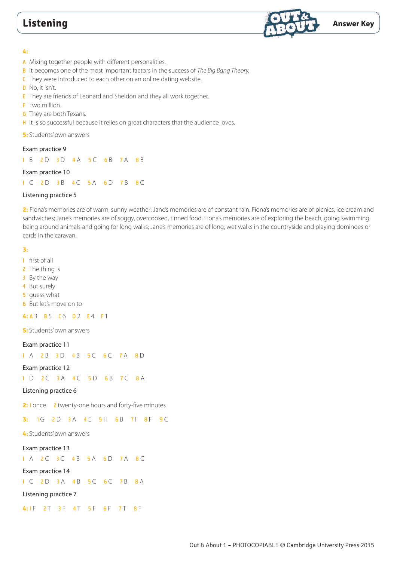

#### **4:**

- A Mixing together people with different personalities.
- B It becomes one of the most important factors in the success of *The Big Bang Theory.*
- **C** They were introduced to each other on an online dating website.
- D No, it isn't.
- E They are friends of Leonard and Sheldon and they all work together.
- F Two million.
- **G** They are both Texans.
- H It is so successful because it relies on great characters that the audience loves.

```
5: Students' own answers
```
# Exam practice 9

1 B 2 D 3 D 4 A 5 C 6 B 7 A 8 B

# Exam practice 10

1 C 2 D 3 B 4 C 5 A 6 D 7 B 8 C

# Listening practice 5

**2:** Fiona's memories are of warm, sunny weather; Jane's memories are of constant rain. Fiona's memories are of picnics, ice cream and sandwiches; Jane's memories are of soggy, overcooked, tinned food. Fiona's memories are of exploring the beach, going swimming, being around animals and going for long walks; Jane's memories are of long, wet walks in the countryside and playing dominoes or cards in the caravan.

### **3:**

1 first of all

- 2 The thing is
- 3 By the way
- 4 But surely
- **5** guess what
- 6 But let's move on to

### 4: A 3 B 5 C 6 D 2 E 4 F 1

**5:** Students' own answers

### Exam practice 11

1 A 2 B 3 D 4 B 5 C 6 C 7 A 8 D

### Exam practice 12

1 D 2 C 3 A 4 C 5 D 6 B 7 C 8 A

### Listening practice 6

**2:** 1 once **2** twenty-one hours and forty-five minutes

# **3: 1G 2D 3A 4E 5H 6B 71 8F 9C**

**4:** Students' own answers

#### Exam practice 13

1 A 2 C 3 C 4 B 5 A 6 D 7 A 8 C

#### Exam practice 14

1 C 2 D 3 A 4 B 5 C 6 C 7 B 8 A

Listening practice 7

4:1F 2T 3F 4T 5F 6F 7T 8F